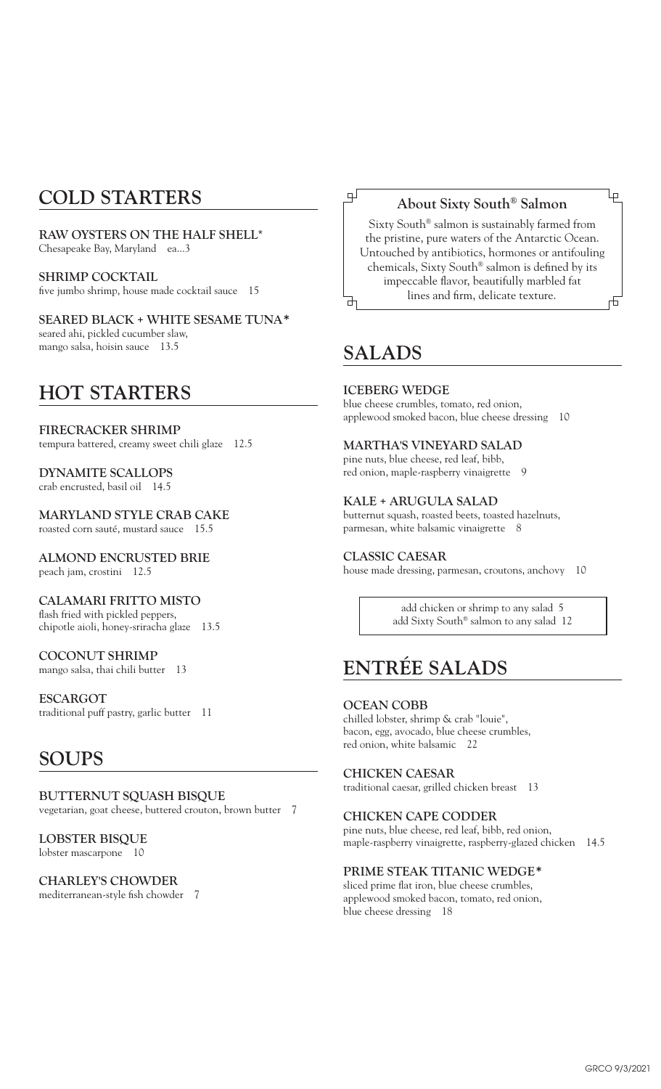## **COLD STARTERS**

**RAW OYSTERS ON THE HALF SHELL\*** Chesapeake Bay, Maryland ea...3

**SHRIMP COCKTAIL** five jumbo shrimp, house made cocktail sauce 15

**SEARED BLACK + WHITE SESAME TUNA\*** seared ahi, pickled cucumber slaw, mango salsa, hoisin sauce 13.5

## **HOT STARTERS**

**FIRECRACKER SHRIMP** tempura battered, creamy sweet chili glaze 12.5

**DYNAMITE SCALLOPS** crab encrusted, basil oil 14.5

**MARYLAND STYLE CRAB CAKE** roasted corn sauté, mustard sauce 15.5

**ALMOND ENCRUSTED BRIE** peach jam, crostini 12.5

**CALAMARI FRITTO MISTO** flash fried with pickled peppers, chipotle aioli, honey-sriracha glaze 13.5

**COCONUT SHRIMP** mango salsa, thai chili butter 13

**ESCARGOT** traditional puff pastry, garlic butter 11

## **SOUPS**

**BUTTERNUT SQUASH BISQUE** vegetarian, goat cheese, buttered crouton, brown butter 7

**LOBSTER BISQUE** lobster mascarpone 10

## **CHARLEY'S CHOWDER**

mediterranean-style fish chowder 7

## **About Sixty South® Salmon**

Ļρ

Sixty South® salmon is sustainably farmed from the pristine, pure waters of the Antarctic Ocean. Untouched by antibiotics, hormones or antifouling chemicals, Sixty South® salmon is defined by its impeccable flavor, beautifully marbled fat lines and firm, delicate texture.市

## **SALADS**

பு

₫

**ICEBERG WEDGE** blue cheese crumbles, tomato, red onion, applewood smoked bacon, blue cheese dressing 10

## **MARTHA'S VINEYARD SALAD**

pine nuts, blue cheese, red leaf, bibb, red onion, maple-raspberry vinaigrette 9

**KALE + ARUGULA SALAD** butternut squash, roasted beets, toasted hazelnuts, parmesan, white balsamic vinaigrette 8

**CLASSIC CAESAR** house made dressing, parmesan, croutons, anchovy 10

> add chicken or shrimp to any salad 5 add Sixty South® salmon to any salad 12

# **ENTRÉE SALADS**

### **OCEAN COBB**

chilled lobster, shrimp & crab "louie", bacon, egg, avocado, blue cheese crumbles, red onion, white balsamic 22

### **CHICKEN CAESAR**

traditional caesar, grilled chicken breast 13

**CHICKEN CAPE CODDER**

pine nuts, blue cheese, red leaf, bibb, red onion, maple-raspberry vinaigrette, raspberry-glazed chicken 14.5

## **PRIME STEAK TITANIC WEDGE\***

sliced prime flat iron, blue cheese crumbles, applewood smoked bacon, tomato, red onion, blue cheese dressing 18